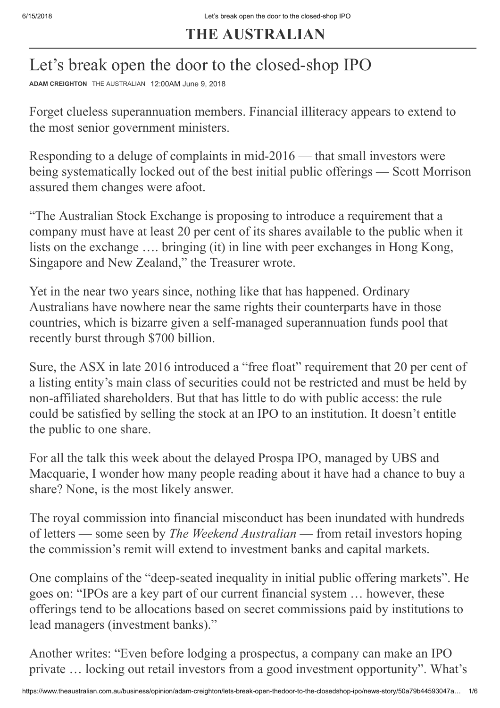## **THE AUSTRALIAN**

## Let's break open the door to the closed-shop IPO

**[ADAM CREIGHTON](http://www.theaustralian.com.au/author/Adam+Creighton)** THE AUSTRALIAN 12:00AM June 9, 2018

Forget clueless superannuation members. Financial illiteracy appears to extend to the most senior government ministers.

Responding to a deluge of complaints in mid-2016 — that small investors were being systematically locked out of the best initial public offerings — Scott Morrison assured them changes were afoot.

"The Australian Stock Exchange is proposing to introduce a requirement that a company must have at least 20 per cent of its shares available to the public when it lists on the exchange …. bringing (it) in line with peer exchanges in Hong Kong, Singapore and New Zealand," the Treasurer wrote.

Yet in the near two years since, nothing like that has happened. Ordinary Australians have nowhere near the same rights their counterparts have in those countries, which is bizarre given a self-managed superannuation funds pool that recently burst through \$700 billion.

Sure, the ASX in late 2016 introduced a "free float" requirement that 20 per cent of a listing entity's main class of securities could not be restricted and must be held by non-affiliated shareholders. But that has little to do with public access: the rule could be satisfied by selling the stock at an IPO to an institution. It doesn't entitle the public to one share.

For all the talk this week about the delayed Prospa IPO, managed by UBS and Macquarie, I wonder how many people reading about it have had a chance to buy a share? None, is the most likely answer.

The royal commission into financial misconduct has been inundated with hundreds of letters — some seen by *The Weekend Australian* — from retail investors hoping the commission's remit will extend to investment banks and capital markets.

One complains of the "deep-seated inequality in initial public offering markets". He goes on: "IPOs are a key part of our current financial system … however, these offerings tend to be allocations based on secret commissions paid by institutions to lead managers (investment banks)."

Another writes: "Even before lodging a prospectus, a company can make an IPO private … locking out retail investors from a good investment opportunity". What's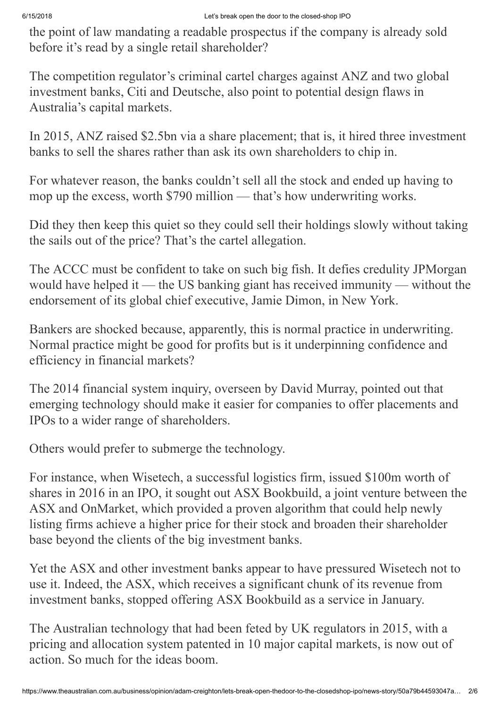the point of law mandating a readable prospectus if the company is already sold before it's read by a single retail shareholder?

The competition regulator's criminal cartel charges against ANZ and two global investment banks, Citi and Deutsche, also point to potential design flaws in Australia's capital markets.

In 2015, ANZ raised \$2.5bn via a share placement; that is, it hired three investment banks to sell the shares rather than ask its own shareholders to chip in.

For whatever reason, the banks couldn't sell all the stock and ended up having to mop up the excess, worth \$790 million — that's how underwriting works.

Did they then keep this quiet so they could sell their holdings slowly without taking the sails out of the price? That's the cartel allegation.

The ACCC must be confident to take on such big fish. It defies credulity JPMorgan would have helped it — the US banking giant has received immunity — without the endorsement of its global chief executive, Jamie Dimon, in New York.

Bankers are shocked because, apparently, this is normal practice in underwriting. Normal practice might be good for profits but is it underpinning confidence and efficiency in financial markets?

The 2014 financial system inquiry, overseen by David Murray, pointed out that emerging technology should make it easier for companies to offer placements and IPOs to a wider range of shareholders.

Others would prefer to submerge the technology.

For instance, when Wisetech, a successful logistics firm, issued \$100m worth of shares in 2016 in an IPO, it sought out ASX Bookbuild, a joint venture between the ASX and OnMarket, which provided a proven algorithm that could help newly listing firms achieve a higher price for their stock and broaden their shareholder base beyond the clients of the big investment banks.

Yet the ASX and other investment banks appear to have pressured Wisetech not to use it. Indeed, the ASX, which receives a significant chunk of its revenue from investment banks, stopped offering ASX Bookbuild as a service in January.

The Australian technology that had been feted by UK regulators in 2015, with a pricing and allocation system patented in 10 major capital markets, is now out of action. So much for the ideas boom.